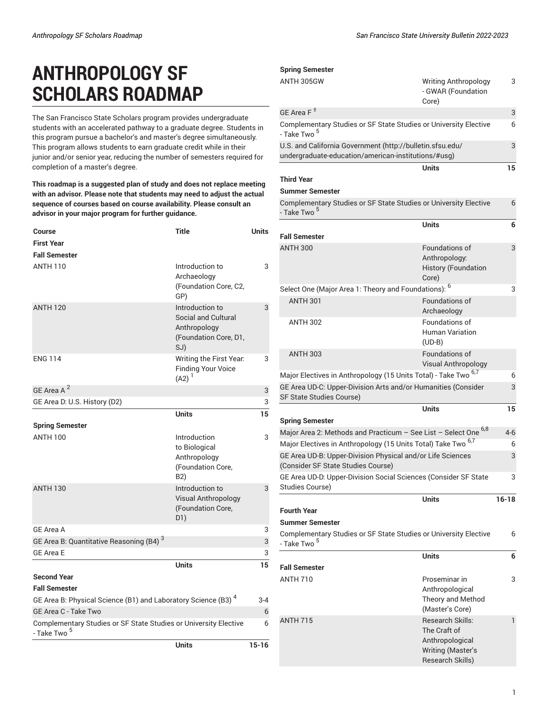# **ANTHROPOLOGY SF SCHOLARS ROADMAP**

The San Francisco State Scholars program provides undergraduate students with an accelerated pathway to a graduate degree. Students in this program pursue a bachelor's and master's degree simultaneously. This program allows students to earn graduate credit while in their junior and/or senior year, reducing the number of semesters required for completion of a master's degree.

**This roadmap is a suggested plan of study and does not replace meeting with an advisor. Please note that students may need to adjust the actual sequence of courses based on course availability. Please consult an advisor in your major program for further guidance.**

| Course                                                                                      | <b>Title</b>                                                                           | <b>Units</b> |
|---------------------------------------------------------------------------------------------|----------------------------------------------------------------------------------------|--------------|
| <b>First Year</b>                                                                           |                                                                                        |              |
| <b>Fall Semester</b>                                                                        |                                                                                        |              |
| <b>ANTH 110</b>                                                                             | Introduction to<br>Archaeology<br>(Foundation Core, C2,<br>GP)                         | 3            |
| <b>ANTH 120</b>                                                                             | Introduction to<br>Social and Cultural<br>Anthropology<br>(Foundation Core, D1,<br>SJ) | 3            |
| <b>ENG 114</b>                                                                              | Writing the First Year.<br><b>Finding Your Voice</b><br>$(A2)^{1}$                     | 3            |
| GE Area A <sup>2</sup>                                                                      |                                                                                        | 3            |
| GE Area D: U.S. History (D2)                                                                |                                                                                        | 3            |
|                                                                                             | <b>Units</b>                                                                           | 15           |
| <b>Spring Semester</b>                                                                      |                                                                                        |              |
| <b>ANTH 100</b>                                                                             | Introduction<br>to Biological<br>Anthropology<br>(Foundation Core,<br>B2)              | 3            |
| <b>ANTH 130</b>                                                                             | Introduction to<br>Visual Anthropology<br>(Foundation Core,<br>D1)                     | 3            |
| GE Area A                                                                                   |                                                                                        | 3            |
| GE Area B: Quantitative Reasoning (B4) <sup>3</sup>                                         |                                                                                        | 3            |
| <b>GE Area E</b>                                                                            |                                                                                        | 3            |
|                                                                                             | <b>Units</b>                                                                           | 15           |
| <b>Second Year</b>                                                                          |                                                                                        |              |
| <b>Fall Semester</b>                                                                        |                                                                                        |              |
| GE Area B: Physical Science (B1) and Laboratory Science (B3) <sup>4</sup>                   |                                                                                        | $3 - 4$      |
| GE Area C - Take Two                                                                        |                                                                                        | 6            |
| Complementary Studies or SF State Studies or University Elective<br>- Take Two <sup>5</sup> |                                                                                        | 6            |
|                                                                                             | <b>Units</b>                                                                           | $15 - 16$    |

| ANTH 305GW<br>3<br><b>Writing Anthropology</b><br>- GWAR (Foundation<br>Core)<br>GE Area $F^{\pm}$<br>3<br>Complementary Studies or SF State Studies or University Elective<br>- Take Two <sup>5</sup><br>U.S. and California Government (http://bulletin.sfsu.edu/<br>undergraduate-education/american-institutions/#usg)<br>Units<br><b>Third Year</b><br><b>Summer Semester</b><br>Complementary Studies or SF State Studies or University Elective<br>- Take Two <sup>5</sup><br><b>Units</b><br><b>Fall Semester</b><br>Foundations of<br><b>ANTH 300</b><br>Anthropology:<br><b>History (Foundation</b><br>Core)<br>Select One (Major Area 1: Theory and Foundations): <sup>6</sup><br><b>ANTH 301</b><br><b>Foundations of</b><br>Archaeology<br>Foundations of<br><b>ANTH 302</b><br>Human Variation<br>$(UD-B)$<br><b>ANTH 303</b><br><b>Foundations of</b><br><b>Visual Anthropology</b><br>Major Electives in Anthropology (15 Units Total) - Take Two <sup>6,7</sup><br>GE Area UD-C: Upper-Division Arts and/or Humanities (Consider<br>SF State Studies Course)<br><b>Units</b><br><b>Spring Semester</b><br>Major Area 2: Methods and Practicum – See List – Select One <sup>6,8</sup><br>Major Electives in Anthropology (15 Units Total) Take Two <sup>6,7</sup><br>GE Area UD-B: Upper-Division Physical and/or Life Sciences<br>(Consider SF State Studies Course)<br>GE Area UD-D: Upper-Division Social Sciences (Consider SF State<br><b>Studies Course)</b><br><b>Units</b><br><b>Fourth Year</b><br><b>Summer Semester</b><br>Complementary Studies or SF State Studies or University Elective<br>- Take Two <sup>5</sup><br><b>Units</b><br><b>Fall Semester</b><br><b>ANTH 710</b><br>Proseminar in<br>Anthropological<br>Theory and Method<br>(Master's Core)<br><b>ANTH 715</b><br>Research Skills:<br>$\mathbf{1}$<br>The Craft of<br>Anthropological | <b>Spring Semester</b> |   |
|------------------------------------------------------------------------------------------------------------------------------------------------------------------------------------------------------------------------------------------------------------------------------------------------------------------------------------------------------------------------------------------------------------------------------------------------------------------------------------------------------------------------------------------------------------------------------------------------------------------------------------------------------------------------------------------------------------------------------------------------------------------------------------------------------------------------------------------------------------------------------------------------------------------------------------------------------------------------------------------------------------------------------------------------------------------------------------------------------------------------------------------------------------------------------------------------------------------------------------------------------------------------------------------------------------------------------------------------------------------------------------------------------------------------------------------------------------------------------------------------------------------------------------------------------------------------------------------------------------------------------------------------------------------------------------------------------------------------------------------------------------------------------------------------------------------------------------------------------------------------------------|------------------------|---|
|                                                                                                                                                                                                                                                                                                                                                                                                                                                                                                                                                                                                                                                                                                                                                                                                                                                                                                                                                                                                                                                                                                                                                                                                                                                                                                                                                                                                                                                                                                                                                                                                                                                                                                                                                                                                                                                                                    |                        |   |
|                                                                                                                                                                                                                                                                                                                                                                                                                                                                                                                                                                                                                                                                                                                                                                                                                                                                                                                                                                                                                                                                                                                                                                                                                                                                                                                                                                                                                                                                                                                                                                                                                                                                                                                                                                                                                                                                                    |                        |   |
| 3<br>15<br>6<br>6<br>3<br>3<br>6<br>3<br>15<br>$4-6$<br>6<br>3<br>3<br>$16-18$<br>3                                                                                                                                                                                                                                                                                                                                                                                                                                                                                                                                                                                                                                                                                                                                                                                                                                                                                                                                                                                                                                                                                                                                                                                                                                                                                                                                                                                                                                                                                                                                                                                                                                                                                                                                                                                                |                        | 6 |
|                                                                                                                                                                                                                                                                                                                                                                                                                                                                                                                                                                                                                                                                                                                                                                                                                                                                                                                                                                                                                                                                                                                                                                                                                                                                                                                                                                                                                                                                                                                                                                                                                                                                                                                                                                                                                                                                                    |                        |   |
|                                                                                                                                                                                                                                                                                                                                                                                                                                                                                                                                                                                                                                                                                                                                                                                                                                                                                                                                                                                                                                                                                                                                                                                                                                                                                                                                                                                                                                                                                                                                                                                                                                                                                                                                                                                                                                                                                    |                        |   |
|                                                                                                                                                                                                                                                                                                                                                                                                                                                                                                                                                                                                                                                                                                                                                                                                                                                                                                                                                                                                                                                                                                                                                                                                                                                                                                                                                                                                                                                                                                                                                                                                                                                                                                                                                                                                                                                                                    |                        |   |
|                                                                                                                                                                                                                                                                                                                                                                                                                                                                                                                                                                                                                                                                                                                                                                                                                                                                                                                                                                                                                                                                                                                                                                                                                                                                                                                                                                                                                                                                                                                                                                                                                                                                                                                                                                                                                                                                                    |                        |   |
|                                                                                                                                                                                                                                                                                                                                                                                                                                                                                                                                                                                                                                                                                                                                                                                                                                                                                                                                                                                                                                                                                                                                                                                                                                                                                                                                                                                                                                                                                                                                                                                                                                                                                                                                                                                                                                                                                    |                        |   |
|                                                                                                                                                                                                                                                                                                                                                                                                                                                                                                                                                                                                                                                                                                                                                                                                                                                                                                                                                                                                                                                                                                                                                                                                                                                                                                                                                                                                                                                                                                                                                                                                                                                                                                                                                                                                                                                                                    |                        |   |
|                                                                                                                                                                                                                                                                                                                                                                                                                                                                                                                                                                                                                                                                                                                                                                                                                                                                                                                                                                                                                                                                                                                                                                                                                                                                                                                                                                                                                                                                                                                                                                                                                                                                                                                                                                                                                                                                                    |                        |   |
|                                                                                                                                                                                                                                                                                                                                                                                                                                                                                                                                                                                                                                                                                                                                                                                                                                                                                                                                                                                                                                                                                                                                                                                                                                                                                                                                                                                                                                                                                                                                                                                                                                                                                                                                                                                                                                                                                    |                        |   |
|                                                                                                                                                                                                                                                                                                                                                                                                                                                                                                                                                                                                                                                                                                                                                                                                                                                                                                                                                                                                                                                                                                                                                                                                                                                                                                                                                                                                                                                                                                                                                                                                                                                                                                                                                                                                                                                                                    |                        |   |
|                                                                                                                                                                                                                                                                                                                                                                                                                                                                                                                                                                                                                                                                                                                                                                                                                                                                                                                                                                                                                                                                                                                                                                                                                                                                                                                                                                                                                                                                                                                                                                                                                                                                                                                                                                                                                                                                                    |                        |   |
|                                                                                                                                                                                                                                                                                                                                                                                                                                                                                                                                                                                                                                                                                                                                                                                                                                                                                                                                                                                                                                                                                                                                                                                                                                                                                                                                                                                                                                                                                                                                                                                                                                                                                                                                                                                                                                                                                    |                        |   |
|                                                                                                                                                                                                                                                                                                                                                                                                                                                                                                                                                                                                                                                                                                                                                                                                                                                                                                                                                                                                                                                                                                                                                                                                                                                                                                                                                                                                                                                                                                                                                                                                                                                                                                                                                                                                                                                                                    |                        |   |
|                                                                                                                                                                                                                                                                                                                                                                                                                                                                                                                                                                                                                                                                                                                                                                                                                                                                                                                                                                                                                                                                                                                                                                                                                                                                                                                                                                                                                                                                                                                                                                                                                                                                                                                                                                                                                                                                                    |                        |   |
|                                                                                                                                                                                                                                                                                                                                                                                                                                                                                                                                                                                                                                                                                                                                                                                                                                                                                                                                                                                                                                                                                                                                                                                                                                                                                                                                                                                                                                                                                                                                                                                                                                                                                                                                                                                                                                                                                    |                        |   |
|                                                                                                                                                                                                                                                                                                                                                                                                                                                                                                                                                                                                                                                                                                                                                                                                                                                                                                                                                                                                                                                                                                                                                                                                                                                                                                                                                                                                                                                                                                                                                                                                                                                                                                                                                                                                                                                                                    |                        |   |
|                                                                                                                                                                                                                                                                                                                                                                                                                                                                                                                                                                                                                                                                                                                                                                                                                                                                                                                                                                                                                                                                                                                                                                                                                                                                                                                                                                                                                                                                                                                                                                                                                                                                                                                                                                                                                                                                                    |                        |   |
|                                                                                                                                                                                                                                                                                                                                                                                                                                                                                                                                                                                                                                                                                                                                                                                                                                                                                                                                                                                                                                                                                                                                                                                                                                                                                                                                                                                                                                                                                                                                                                                                                                                                                                                                                                                                                                                                                    |                        |   |
|                                                                                                                                                                                                                                                                                                                                                                                                                                                                                                                                                                                                                                                                                                                                                                                                                                                                                                                                                                                                                                                                                                                                                                                                                                                                                                                                                                                                                                                                                                                                                                                                                                                                                                                                                                                                                                                                                    |                        |   |
|                                                                                                                                                                                                                                                                                                                                                                                                                                                                                                                                                                                                                                                                                                                                                                                                                                                                                                                                                                                                                                                                                                                                                                                                                                                                                                                                                                                                                                                                                                                                                                                                                                                                                                                                                                                                                                                                                    |                        |   |
|                                                                                                                                                                                                                                                                                                                                                                                                                                                                                                                                                                                                                                                                                                                                                                                                                                                                                                                                                                                                                                                                                                                                                                                                                                                                                                                                                                                                                                                                                                                                                                                                                                                                                                                                                                                                                                                                                    |                        |   |
|                                                                                                                                                                                                                                                                                                                                                                                                                                                                                                                                                                                                                                                                                                                                                                                                                                                                                                                                                                                                                                                                                                                                                                                                                                                                                                                                                                                                                                                                                                                                                                                                                                                                                                                                                                                                                                                                                    |                        |   |
|                                                                                                                                                                                                                                                                                                                                                                                                                                                                                                                                                                                                                                                                                                                                                                                                                                                                                                                                                                                                                                                                                                                                                                                                                                                                                                                                                                                                                                                                                                                                                                                                                                                                                                                                                                                                                                                                                    |                        |   |
|                                                                                                                                                                                                                                                                                                                                                                                                                                                                                                                                                                                                                                                                                                                                                                                                                                                                                                                                                                                                                                                                                                                                                                                                                                                                                                                                                                                                                                                                                                                                                                                                                                                                                                                                                                                                                                                                                    |                        |   |
|                                                                                                                                                                                                                                                                                                                                                                                                                                                                                                                                                                                                                                                                                                                                                                                                                                                                                                                                                                                                                                                                                                                                                                                                                                                                                                                                                                                                                                                                                                                                                                                                                                                                                                                                                                                                                                                                                    |                        |   |
|                                                                                                                                                                                                                                                                                                                                                                                                                                                                                                                                                                                                                                                                                                                                                                                                                                                                                                                                                                                                                                                                                                                                                                                                                                                                                                                                                                                                                                                                                                                                                                                                                                                                                                                                                                                                                                                                                    |                        |   |
| 6<br>6                                                                                                                                                                                                                                                                                                                                                                                                                                                                                                                                                                                                                                                                                                                                                                                                                                                                                                                                                                                                                                                                                                                                                                                                                                                                                                                                                                                                                                                                                                                                                                                                                                                                                                                                                                                                                                                                             |                        |   |
|                                                                                                                                                                                                                                                                                                                                                                                                                                                                                                                                                                                                                                                                                                                                                                                                                                                                                                                                                                                                                                                                                                                                                                                                                                                                                                                                                                                                                                                                                                                                                                                                                                                                                                                                                                                                                                                                                    |                        |   |
|                                                                                                                                                                                                                                                                                                                                                                                                                                                                                                                                                                                                                                                                                                                                                                                                                                                                                                                                                                                                                                                                                                                                                                                                                                                                                                                                                                                                                                                                                                                                                                                                                                                                                                                                                                                                                                                                                    |                        |   |
|                                                                                                                                                                                                                                                                                                                                                                                                                                                                                                                                                                                                                                                                                                                                                                                                                                                                                                                                                                                                                                                                                                                                                                                                                                                                                                                                                                                                                                                                                                                                                                                                                                                                                                                                                                                                                                                                                    |                        |   |
|                                                                                                                                                                                                                                                                                                                                                                                                                                                                                                                                                                                                                                                                                                                                                                                                                                                                                                                                                                                                                                                                                                                                                                                                                                                                                                                                                                                                                                                                                                                                                                                                                                                                                                                                                                                                                                                                                    |                        |   |
|                                                                                                                                                                                                                                                                                                                                                                                                                                                                                                                                                                                                                                                                                                                                                                                                                                                                                                                                                                                                                                                                                                                                                                                                                                                                                                                                                                                                                                                                                                                                                                                                                                                                                                                                                                                                                                                                                    |                        |   |
|                                                                                                                                                                                                                                                                                                                                                                                                                                                                                                                                                                                                                                                                                                                                                                                                                                                                                                                                                                                                                                                                                                                                                                                                                                                                                                                                                                                                                                                                                                                                                                                                                                                                                                                                                                                                                                                                                    |                        |   |
|                                                                                                                                                                                                                                                                                                                                                                                                                                                                                                                                                                                                                                                                                                                                                                                                                                                                                                                                                                                                                                                                                                                                                                                                                                                                                                                                                                                                                                                                                                                                                                                                                                                                                                                                                                                                                                                                                    |                        |   |
|                                                                                                                                                                                                                                                                                                                                                                                                                                                                                                                                                                                                                                                                                                                                                                                                                                                                                                                                                                                                                                                                                                                                                                                                                                                                                                                                                                                                                                                                                                                                                                                                                                                                                                                                                                                                                                                                                    |                        |   |
|                                                                                                                                                                                                                                                                                                                                                                                                                                                                                                                                                                                                                                                                                                                                                                                                                                                                                                                                                                                                                                                                                                                                                                                                                                                                                                                                                                                                                                                                                                                                                                                                                                                                                                                                                                                                                                                                                    |                        |   |
|                                                                                                                                                                                                                                                                                                                                                                                                                                                                                                                                                                                                                                                                                                                                                                                                                                                                                                                                                                                                                                                                                                                                                                                                                                                                                                                                                                                                                                                                                                                                                                                                                                                                                                                                                                                                                                                                                    |                        |   |
|                                                                                                                                                                                                                                                                                                                                                                                                                                                                                                                                                                                                                                                                                                                                                                                                                                                                                                                                                                                                                                                                                                                                                                                                                                                                                                                                                                                                                                                                                                                                                                                                                                                                                                                                                                                                                                                                                    |                        |   |
| <b>Writing (Master's</b><br>Research Skills)                                                                                                                                                                                                                                                                                                                                                                                                                                                                                                                                                                                                                                                                                                                                                                                                                                                                                                                                                                                                                                                                                                                                                                                                                                                                                                                                                                                                                                                                                                                                                                                                                                                                                                                                                                                                                                       |                        |   |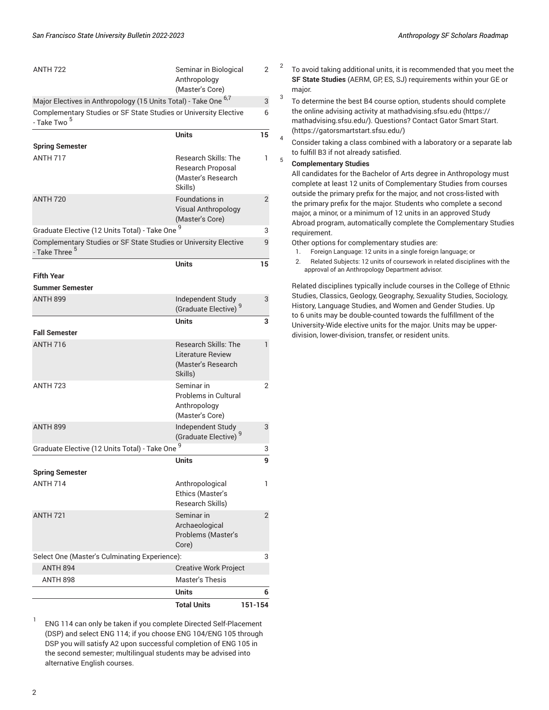| <b>ANTH 722</b>                                                                               | Seminar in Biological<br>Anthropology<br>(Master's Core)                          | 2              |
|-----------------------------------------------------------------------------------------------|-----------------------------------------------------------------------------------|----------------|
| Major Electives in Anthropology (15 Units Total) - Take One <sup>6,7</sup>                    |                                                                                   |                |
| Complementary Studies or SF State Studies or University Elective<br>- Take Two <sup>5</sup>   |                                                                                   | 6              |
|                                                                                               | <b>Units</b>                                                                      | 15             |
| <b>Spring Semester</b>                                                                        |                                                                                   |                |
| <b>ANTH 717</b>                                                                               | <b>Research Skills: The</b><br>Research Proposal<br>(Master's Research<br>Skills) | 1              |
| <b>ANTH 720</b>                                                                               | Foundations in<br><b>Visual Anthropology</b><br>(Master's Core)                   | $\overline{2}$ |
| Graduate Elective (12 Units Total) - Take One 9                                               |                                                                                   | 3              |
| Complementary Studies or SF State Studies or University Elective<br>- Take Three <sup>5</sup> |                                                                                   | 9              |
|                                                                                               | <b>Units</b>                                                                      | 15             |
| <b>Fifth Year</b>                                                                             |                                                                                   |                |
| <b>Summer Semester</b>                                                                        |                                                                                   |                |
| <b>ANTH 899</b>                                                                               | Independent Study<br>(Graduate Elective) <sup>9</sup>                             | 3              |
|                                                                                               | <b>Units</b>                                                                      | 3              |
| <b>Fall Semester</b>                                                                          |                                                                                   |                |
| <b>ANTH 716</b>                                                                               | <b>Research Skills: The</b><br>Literature Review<br>(Master's Research<br>Skills) | 1              |
| <b>ANTH 723</b>                                                                               | Seminar in<br><b>Problems in Cultural</b><br>Anthropology<br>(Master's Core)      | $\overline{2}$ |
| <b>ANTH 899</b>                                                                               | Independent Study<br>(Graduate Elective) <sup>9</sup>                             | 3              |
| Graduate Elective (12 Units Total) - Take One 9                                               |                                                                                   | 3              |
| <b>Spring Semester</b>                                                                        | Units                                                                             | 9              |
| <b>ANTH 714</b>                                                                               | Anthropological                                                                   | 1              |
|                                                                                               | Ethics (Master's<br>Research Skills)                                              |                |
| <b>ANTH 721</b>                                                                               | Seminar in<br>Archaeological<br>Problems (Master's<br>Core)                       | $\overline{2}$ |
| Select One (Master's Culminating Experience):                                                 |                                                                                   | 3              |
| <b>ANTH 894</b>                                                                               | <b>Creative Work Project</b>                                                      |                |
| <b>ANTH 898</b>                                                                               | Master's Thesis                                                                   |                |
|                                                                                               | <b>Units</b>                                                                      | 6              |
|                                                                                               | <b>Total Units</b>                                                                | 151-154        |

1 ENG 114 can only be taken if you complete Directed Self-Placement (DSP) and select ENG 114; if you choose ENG 104/ENG 105 through DSP you will satisfy A2 upon successful completion of ENG 105 in the second semester; multilingual students may be advised into alternative English courses.

- 2 To avoid taking additional units, it is recommended that you meet the **SF State Studies** (AERM, GP, ES, SJ) requirements within your GE or major.
- 3 To determine the best B4 course option, students should complete the online advising activity at [mathadvising.sfsu.edu \(https://](https://mathadvising.sfsu.edu/) [mathadvising.sfsu.edu/](https://mathadvising.sfsu.edu/)). Questions? Contact Gator [Smart](https://gatorsmartstart.sfsu.edu/) Start. [\(https://gatorsmartstart.sfsu.edu/](https://gatorsmartstart.sfsu.edu/))
- 4 Consider taking a class combined with a laboratory or a separate lab to fulfill B3 if not already satisfied.

### **Complementary Studies**

5

All candidates for the Bachelor of Arts degree in Anthropology must complete at least 12 units of Complementary Studies from courses outside the primary prefix for the major, and not cross-listed with the primary prefix for the major. Students who complete a second major, a minor, or a minimum of 12 units in an approved Study Abroad program, automatically complete the Complementary Studies requirement.

Other options for complementary studies are:

- 1. Foreign Language: 12 units in a single foreign language; or
- 2. Related Subjects: 12 units of coursework in related disciplines with the approval of an Anthropology Department advisor.

Related disciplines typically include courses in the College of Ethnic Studies, Classics, Geology, Geography, Sexuality Studies, Sociology, History, Language Studies, and Women and Gender Studies. Up to 6 units may be double-counted towards the fulfillment of the University-Wide elective units for the major. Units may be upperdivision, lower-division, transfer, or resident units.